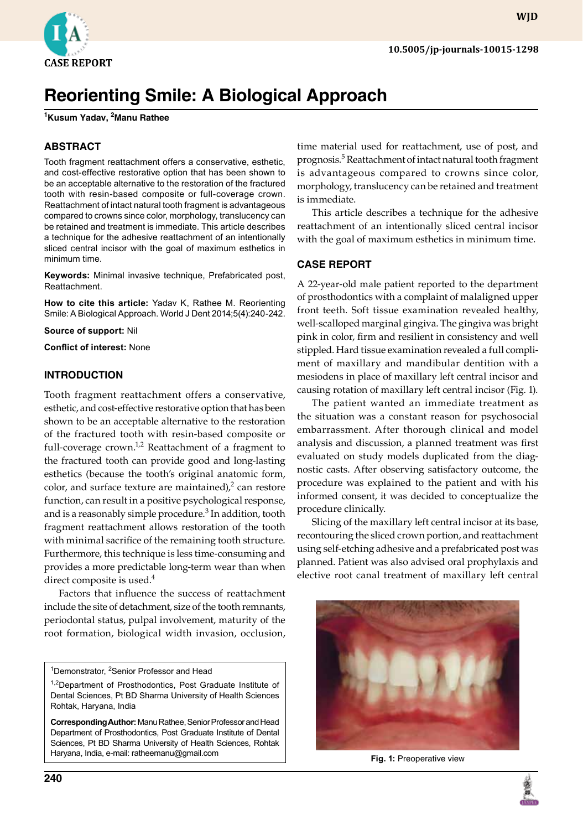

# **Reorienting Smile: A Biological Approach**

**1 Kusum Yadav, 2 Manu Rathee**

# **ABSTRACT**

Tooth fragment reattachment offers a conservative, esthetic, and cost-effective restorative option that has been shown to be an acceptable alternative to the restoration of the fractured tooth with resin-based composite or full-coverage crown. Reattachment of intact natural tooth fragment is advantageous compared to crowns since color, morphology, translucency can be retained and treatment is immediate. This article describes a technique for the adhesive reattachment of an intentionally sliced central incisor with the goal of maximum esthetics in minimum time.

**Keywords:** Minimal invasive technique, Prefabricated post, Reattachment.

**How to cite this article:** Yadav K, Rathee M. Reorienting Smile: A Biological Approach. World J Dent 2014;5(4):240-242.

**Source of support:** Nil

**Conflict of interest:** None

### **Introduction**

Tooth fragment reattachment offers a conservative, esthetic, and cost-effective restorative option that has been shown to be an acceptable alternative to the restoration of the fractured tooth with resin-based composite or full-coverage crown.<sup>1,2</sup> Reattachment of a fragment to the fractured tooth can provide good and long-lasting esthetics (because the tooth's original anatomic form, color, and surface texture are maintained), $^2$  can restore function, can result in a positive psychological response, and is a reasonably simple procedure.<sup>3</sup> In addition, tooth fragment reattachment allows restoration of the tooth with minimal sacrifice of the remaining tooth structure. Furthermore, this technique is less time-consuming and provides a more predictable long-term wear than when direct composite is used.<sup>4</sup>

Factors that influence the success of reattachment include the site of detachment, size of the tooth remnants, periodontal status, pulpal involvement, maturity of the root formation, biological width invasion, occlusion,

<sup>1</sup>Demonstrator, <sup>2</sup>Senior Professor and Head

prognosis.<sup>5</sup> Reattachment of intact natural tooth fragment is advantageous compared to crowns since color, morphology, translucency can be retained and treatment is immediate. This article describes a technique for the adhesive

reattachment of an intentionally sliced central incisor with the goal of maximum esthetics in minimum time.

time material used for reattachment, use of post, and

#### **Case Report**

A 22-year-old male patient reported to the department of prosthodontics with a complaint of malaligned upper front teeth. Soft tissue examination revealed healthy, well-scalloped marginal gingiva. The gingiva was bright pink in color, firm and resilient in consistency and well stippled. Hard tissue examination revealed a full compliment of maxillary and mandibular dentition with a mesiodens in place of maxillary left central incisor and causing rotation of maxillary left central incisor (Fig. 1).

The patient wanted an immediate treatment as the situation was a constant reason for psychosocial embarrassment. After thorough clinical and model analysis and discussion, a planned treatment was first evaluated on study models duplicated from the diagnostic casts. After observing satisfactory outcome, the procedure was explained to the patient and with his informed consent, it was decided to conceptualize the procedure clinically.

Slicing of the maxillary left central incisor at its base, recontouring the sliced crown portion, and reattachment using self-etching adhesive and a prefabricated post was planned. Patient was also advised oral prophylaxis and elective root canal treatment of maxillary left central



**Fig. 1:** Preoperative view



<sup>&</sup>lt;sup>1,2</sup>Department of Prosthodontics, Post Graduate Institute of Dental Sciences, Pt BD Sharma University of Health Sciences Rohtak, Haryana, India

**Corresponding Author:** Manu Rathee, Senior Professor and Head Department of Prosthodontics, Post Graduate Institute of Dental Sciences, Pt BD Sharma University of Health Sciences, Rohtak Haryana, India, e-mail: ratheemanu@gmail.com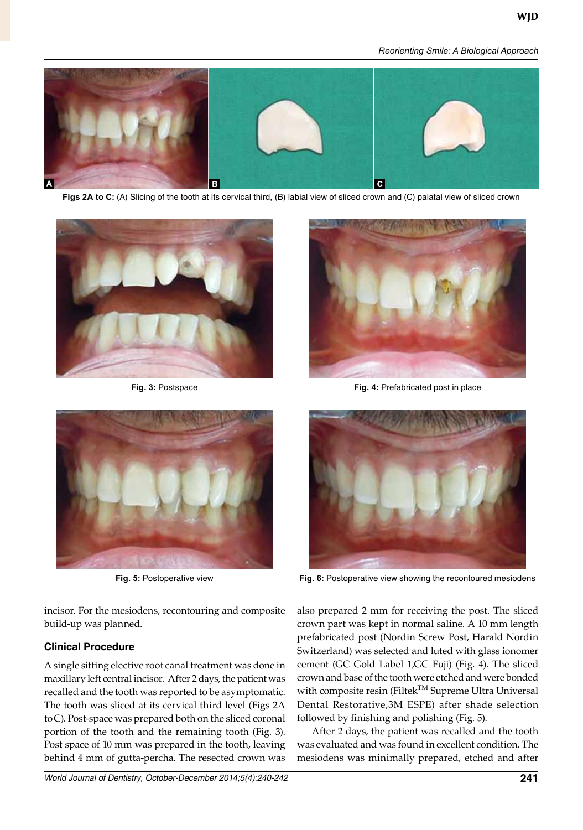*Reorienting Smile: A Biological Approach*



Figs 2A to C: (A) Slicing of the tooth at its cervical third, (B) labial view of sliced crown and (C) palatal view of sliced crown





incisor. For the mesiodens, recontouring and composite build-up was planned.

# **Clinical Procedure**

A single sitting elective root canal treatment was done in maxillary left central incisor. After 2 days, the patient was recalled and the tooth was reported to be asymptomatic. The tooth was sliced at its cervical third level (Figs 2A toC). Post-space was prepared both on the sliced coronal portion of the tooth and the remaining tooth (Fig. 3). Post space of 10 mm was prepared in the tooth, leaving behind 4 mm of gutta-percha. The resected crown was



**Fig. 3:** Postspace **Fig. 4:** Prefabricated post in place



**Fig. 5:** Postoperative view **Fig. 6:** Postoperative view showing the recontoured mesiodens

also prepared 2 mm for receiving the post. The sliced crown part was kept in normal saline. A 10 mm length prefabricated post (Nordin Screw Post, Harald Nordin Switzerland) was selected and luted with glass ionomer cement (GC Gold Label 1,GC Fuji) (Fig. 4). The sliced crown and base of the tooth were etched and were bonded with composite resin (Filtek<sup>TM</sup> Supreme Ultra Universal Dental Restorative,3M ESPE) after shade selection followed by finishing and polishing (Fig. 5).

After 2 days, the patient was recalled and the tooth was evaluated and was found in excellent condition. The mesiodens was minimally prepared, etched and after